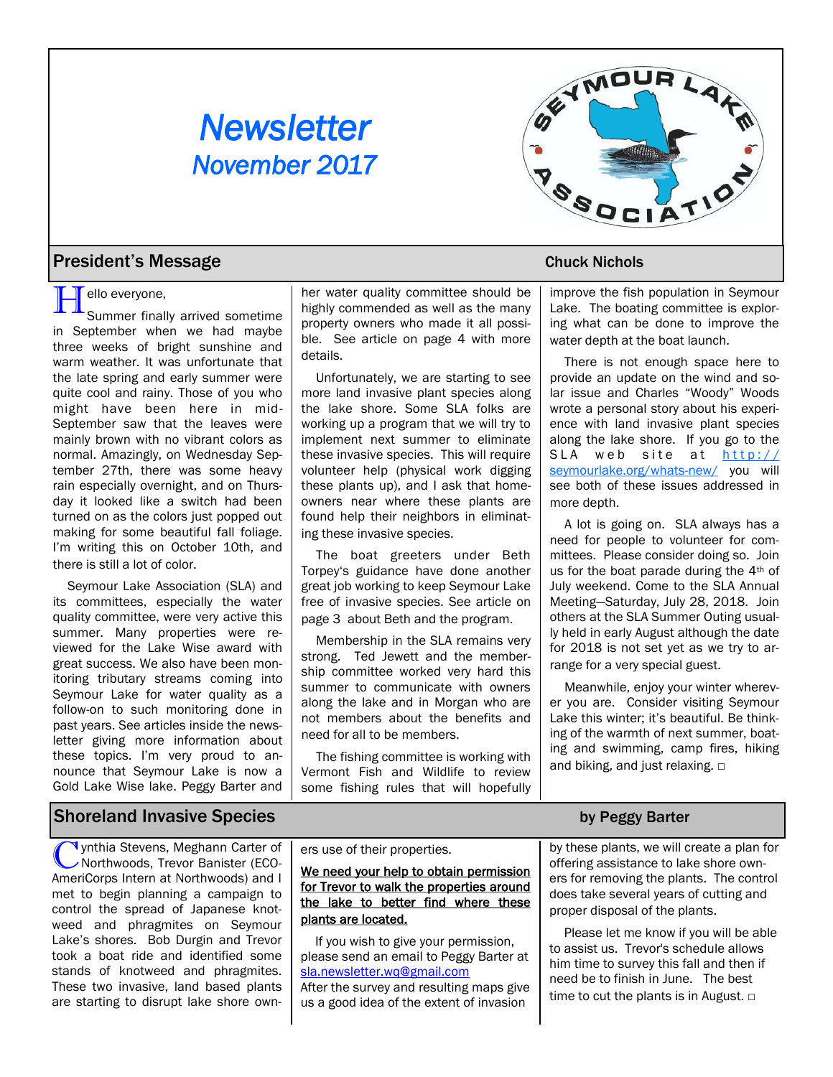# *Newsletter November 2017*



## **President's Message Chuck Nichols** 2014 12:00 Nichols

**Hello everyone,<br>Summer finally arrived sometime** in September when we had maybe three weeks of bright sunshine and warm weather. It was unfortunate that the late spring and early summer were quite cool and rainy. Those of you who might have been here in mid-September saw that the leaves were mainly brown with no vibrant colors as normal. Amazingly, on Wednesday September 27th, there was some heavy rain especially overnight, and on Thursday it looked like a switch had been turned on as the colors just popped out making for some beautiful fall foliage. I'm writing this on October 10th, and there is still a lot of color.

Seymour Lake Association (SLA) and its committees, especially the water quality committee, were very active this summer. Many properties were reviewed for the Lake Wise award with great success. We also have been monitoring tributary streams coming into Seymour Lake for water quality as a follow-on to such monitoring done in past years. See articles inside the newsletter giving more information about these topics. I'm very proud to announce that Seymour Lake is now a Gold Lake Wise lake. Peggy Barter and

her water quality committee should be highly commended as well as the many property owners who made it all possible. See article on page 4 with more details.

Unfortunately, we are starting to see more land invasive plant species along the lake shore. Some SLA folks are working up a program that we will try to implement next summer to eliminate these invasive species. This will require volunteer help (physical work digging these plants up), and I ask that homeowners near where these plants are found help their neighbors in eliminating these invasive species.

The boat greeters under Beth Torpey's guidance have done another great job working to keep Seymour Lake free of invasive species. See article on page 3 about Beth and the program.

Membership in the SLA remains very strong. Ted Jewett and the membership committee worked very hard this summer to communicate with owners along the lake and in Morgan who are not members about the benefits and need for all to be members.

The fishing committee is working with Vermont Fish and Wildlife to review some fishing rules that will hopefully

improve the fish population in Seymour Lake. The boating committee is exploring what can be done to improve the water depth at the boat launch.

There is not enough space here to provide an update on the wind and solar issue and Charles "Woody" Woods wrote a personal story about his experience with land invasive plant species along the lake shore. If you go to the SLA web site at  $h$ ttp:// [seymourlake.org/whats-new/](http://seymourlake.org/whats-new/) you will see both of these issues addressed in more depth.

A lot is going on. SLA always has a need for people to volunteer for committees. Please consider doing so. Join us for the boat parade during the 4th of July weekend. Come to the SLA Annual Meeting—Saturday, July 28, 2018. Join others at the SLA Summer Outing usually held in early August although the date for 2018 is not set yet as we try to arrange for a very special guest.

Meanwhile, enjoy your winter wherever you are. Consider visiting Seymour Lake this winter; it's beautiful. Be thinking of the warmth of next summer, boating and swimming, camp fires, hiking and biking, and just relaxing. □

## Shoreland Invasive Species by Peggy Barter

**C** ynthia Stevens, Meghann Carter of<br>Northwoods, Trevor Banister (ECO-<br>AmeriCorps Intern at Northwoods) and I **V**ynthia Stevens, Meghann Carter of Northwoods, Trevor Banister (ECOmet to begin planning a campaign to control the spread of Japanese knotweed and phragmites on Seymour Lake's shores. Bob Durgin and Trevor took a boat ride and identified some stands of knotweed and phragmites. These two invasive, land based plants are starting to disrupt lake shore own-

### ers use of their properties.

We need your help to obtain permission for Trevor to walk the properties around the lake to better find where these plants are located.

If you wish to give your permission, please send an email to Peggy Barter at [sla.newsletter.wq@gmail.com](mailto:sla.newsletter.wq@gmail.com) After the survey and resulting maps give us a good idea of the extent of invasion

by these plants, we will create a plan for offering assistance to lake shore owners for removing the plants. The control does take several years of cutting and proper disposal of the plants.

Please let me know if you will be able to assist us. Trevor's schedule allows him time to survey this fall and then if need be to finish in June. The best time to cut the plants is in August. □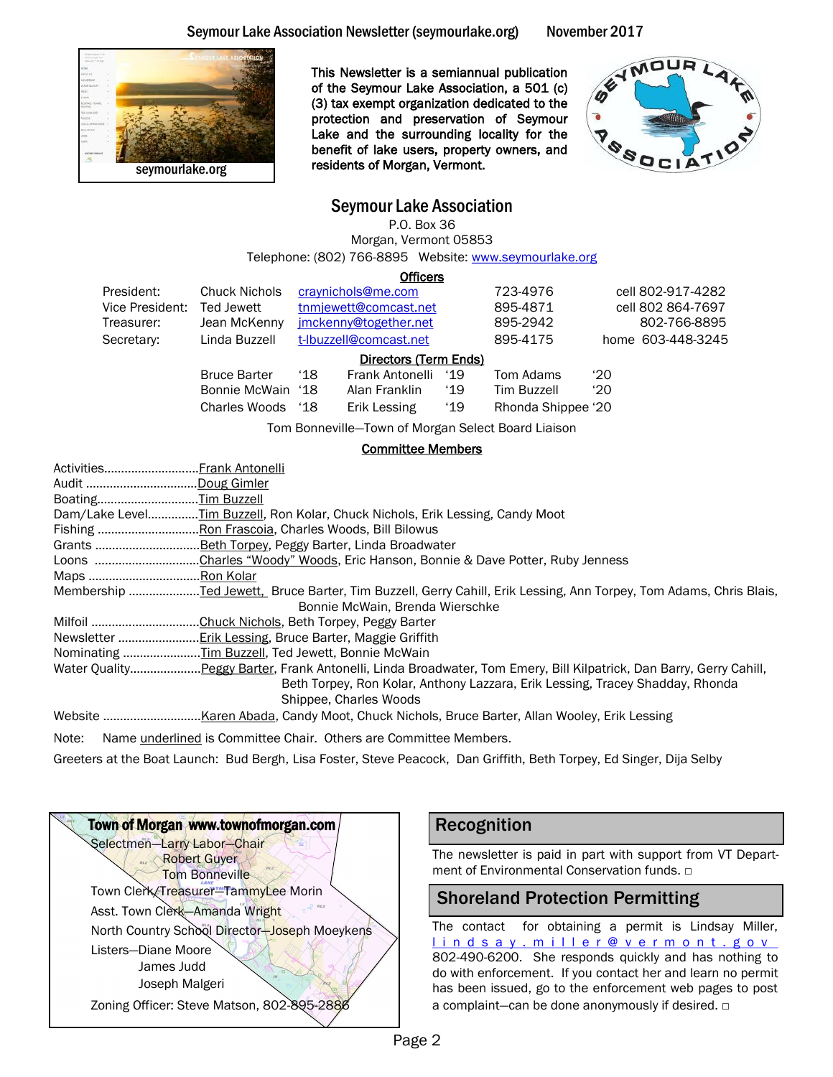



This Newsletter is a semiannual publication of the Seymour Lake Association, a 501 (c) (3) tax exempt organization dedicated to the protection and preservation of Seymour Lake and the surrounding locality for the benefit of lake users, property owners, and residents of Morgan, Vermont.



## Seymour Lake Association

P.O. Box 36 Morgan, Vermont 05853 Telephone: (802) 766-8895 Website: www.seymourlake.org

**Officers** President: Chuck Nichols craynichols@me.com 723-4976 cell 802-917-4282 Vice President: Ted Jewett through the three transactured transactured 805-4871 cell 802 864-7697 Treasurer: Jean McKenny imckenny@together.net 895-2942 802-766-8895 Secretary: Linda Buzzell t-Ibuzzell@comcast.net 895-4175 home 603-448-3245 Directors (Term Ends) Bruce Barter '18 Frank Antonelli '19 Tom Adams '20 Bonnie McWain '18 Alan Franklin '19 Tim Buzzell '20 Charles Woods '18 Erik Lessing '19 Rhonda Shippee '20

Tom Bonneville—Town of Morgan Select Board Liaison

### Committee Members

| ActivitiesFrank Antonelli                                                                                          |
|--------------------------------------------------------------------------------------------------------------------|
| Audit Doug Gimler                                                                                                  |
| BoatingTim Buzzell                                                                                                 |
| Dam/Lake LevelTim Buzzell, Ron Kolar, Chuck Nichols, Erik Lessing, Candy Moot                                      |
|                                                                                                                    |
|                                                                                                                    |
| Loons Charles "Woody" Woods, Eric Hanson, Bonnie & Dave Potter, Ruby Jenness                                       |
| Maps Ron Kolar                                                                                                     |
|                                                                                                                    |
| Bonnie McWain, Brenda Wierschke                                                                                    |
|                                                                                                                    |
|                                                                                                                    |
| Nominating Tim Buzzell, Ted Jewett, Bonnie McWain                                                                  |
| Water QualityPeggy Barter, Frank Antonelli, Linda Broadwater, Tom Emery, Bill Kilpatrick, Dan Barry, Gerry Cahill, |
| Beth Torpey, Ron Kolar, Anthony Lazzara, Erik Lessing, Tracey Shadday, Rhonda                                      |
| Shippee, Charles Woods                                                                                             |
|                                                                                                                    |
|                                                                                                                    |

Note: Name *underlined* is Committee Chair. Others are Committee Members.

Greeters at the Boat Launch: Bud Bergh, Lisa Foster, Steve Peacock, Dan Griffith, Beth Torpey, Ed Singer, Dija Selby



## Recognition

The newsletter is paid in part with support from VT Department of Environmental Conservation funds. □

## Shoreland Protection Permitting

The contact for obtaining a permit is Lindsay Miller, lindsay.miller@[v](mailto:mark.mitchell@vermont.gov)ermont.gov 802-490-6200. She responds quickly and has nothing to do with enforcement. If you contact her and learn no permit has been issued, go to the enforcement web pages to post a complaint—can be done anonymously if desired. □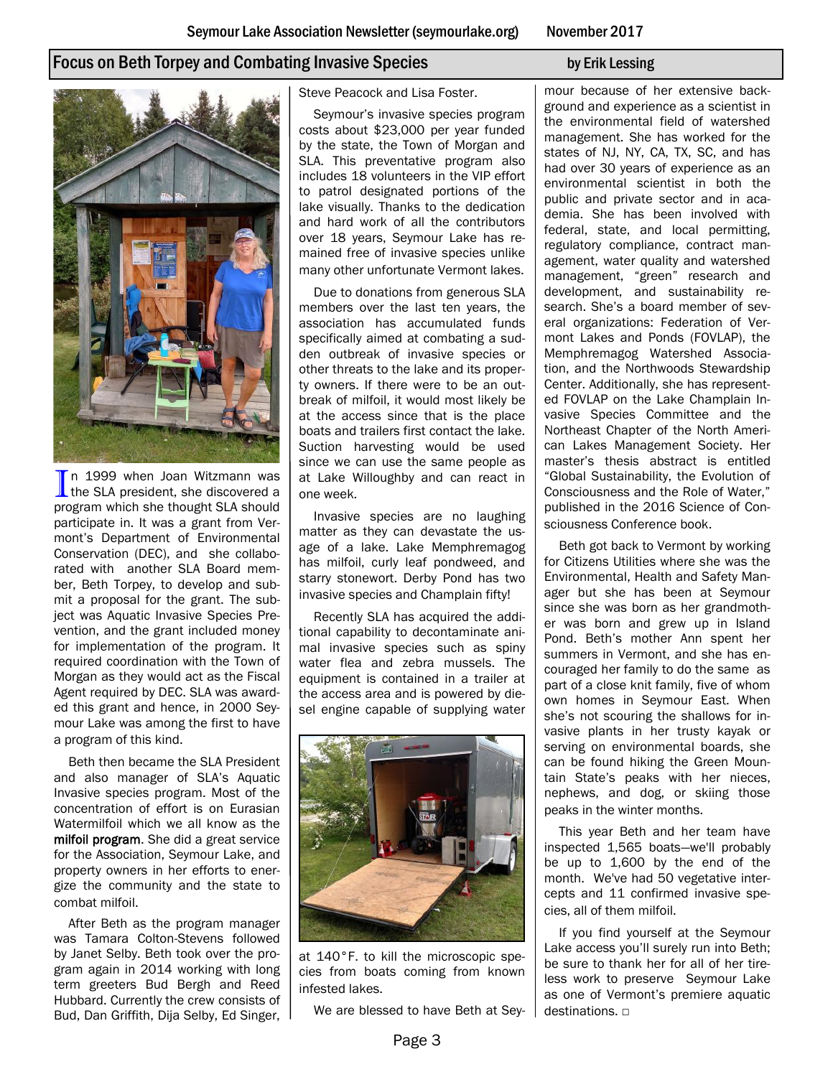## Focus on Beth Torpey and Combating Invasive Species by Erik Lessing by Erik Lessing

In 1999 when Joan Witzmann was<br>the SLA president, she discovered a n 1999 when Joan Witzmann was program which she thought SLA should participate in. It was a grant from Vermont's Department of Environmental Conservation (DEC), and she collaborated with another SLA Board member, Beth Torpey, to develop and submit a proposal for the grant. The subject was Aquatic Invasive Species Prevention, and the grant included money for implementation of the program. It required coordination with the Town of Morgan as they would act as the Fiscal Agent required by DEC. SLA was awarded this grant and hence, in 2000 Seymour Lake was among the first to have a program of this kind.

Beth then became the SLA President and also manager of SLA's Aquatic Invasive species program. Most of the concentration of effort is on Eurasian Watermilfoil which we all know as the milfoil program. She did a great service for the Association, Seymour Lake, and property owners in her efforts to energize the community and the state to combat milfoil.

After Beth as the program manager was Tamara Colton-Stevens followed by Janet Selby. Beth took over the program again in 2014 working with long term greeters Bud Bergh and Reed Hubbard. Currently the crew consists of Bud, Dan Griffith, Dija Selby, Ed Singer, Steve Peacock and Lisa Foster.

Seymour's invasive species program costs about \$23,000 per year funded by the state, the Town of Morgan and SLA. This preventative program also includes 18 volunteers in the VIP effort to patrol designated portions of the lake visually. Thanks to the dedication and hard work of all the contributors over 18 years, Seymour Lake has remained free of invasive species unlike many other unfortunate Vermont lakes.

Due to donations from generous SLA members over the last ten years, the association has accumulated funds specifically aimed at combating a sudden outbreak of invasive species or other threats to the lake and its property owners. If there were to be an outbreak of milfoil, it would most likely be at the access since that is the place boats and trailers first contact the lake. Suction harvesting would be used since we can use the same people as at Lake Willoughby and can react in one week.

Invasive species are no laughing matter as they can devastate the usage of a lake. Lake Memphremagog has milfoil, curly leaf pondweed, and starry stonewort. Derby Pond has two invasive species and Champlain fifty!

Recently SLA has acquired the additional capability to decontaminate animal invasive species such as spiny water flea and zebra mussels. The equipment is contained in a trailer at the access area and is powered by diesel engine capable of supplying water



at 140°F. to kill the microscopic species from boats coming from known infested lakes.

We are blessed to have Beth at Sey-

mour because of her extensive background and experience as a scientist in the environmental field of watershed management. She has worked for the states of NJ, NY, CA, TX, SC, and has had over 30 years of experience as an environmental scientist in both the public and private sector and in academia. She has been involved with federal, state, and local permitting, regulatory compliance, contract management, water quality and watershed management, "green" research and development, and sustainability research. She's a board member of several organizations: Federation of Vermont Lakes and Ponds (FOVLAP), the Memphremagog Watershed Association, and the Northwoods Stewardship Center. Additionally, she has represented FOVLAP on the Lake Champlain Invasive Species Committee and the Northeast Chapter of the North American Lakes Management Society. Her master's thesis abstract is entitled "Global Sustainability, the Evolution of Consciousness and the Role of Water," published in the 2016 Science of Consciousness Conference book.

Beth got back to Vermont by working for Citizens Utilities where she was the Environmental, Health and Safety Manager but she has been at Seymour since she was born as her grandmother was born and grew up in Island Pond. Beth's mother Ann spent her summers in Vermont, and she has encouraged her family to do the same as part of a close knit family, five of whom own homes in Seymour East. When she's not scouring the shallows for invasive plants in her trusty kayak or serving on environmental boards, she can be found hiking the Green Mountain State's peaks with her nieces, nephews, and dog, or skiing those peaks in the winter months.

This year Beth and her team have inspected 1,565 boats—we'll probably be up to 1,600 by the end of the month. We've had 50 vegetative intercepts and 11 confirmed invasive species, all of them milfoil.

If you find yourself at the Seymour Lake access you'll surely run into Beth; be sure to thank her for all of her tireless work to preserve Seymour Lake as one of Vermont's premiere aquatic destinations. □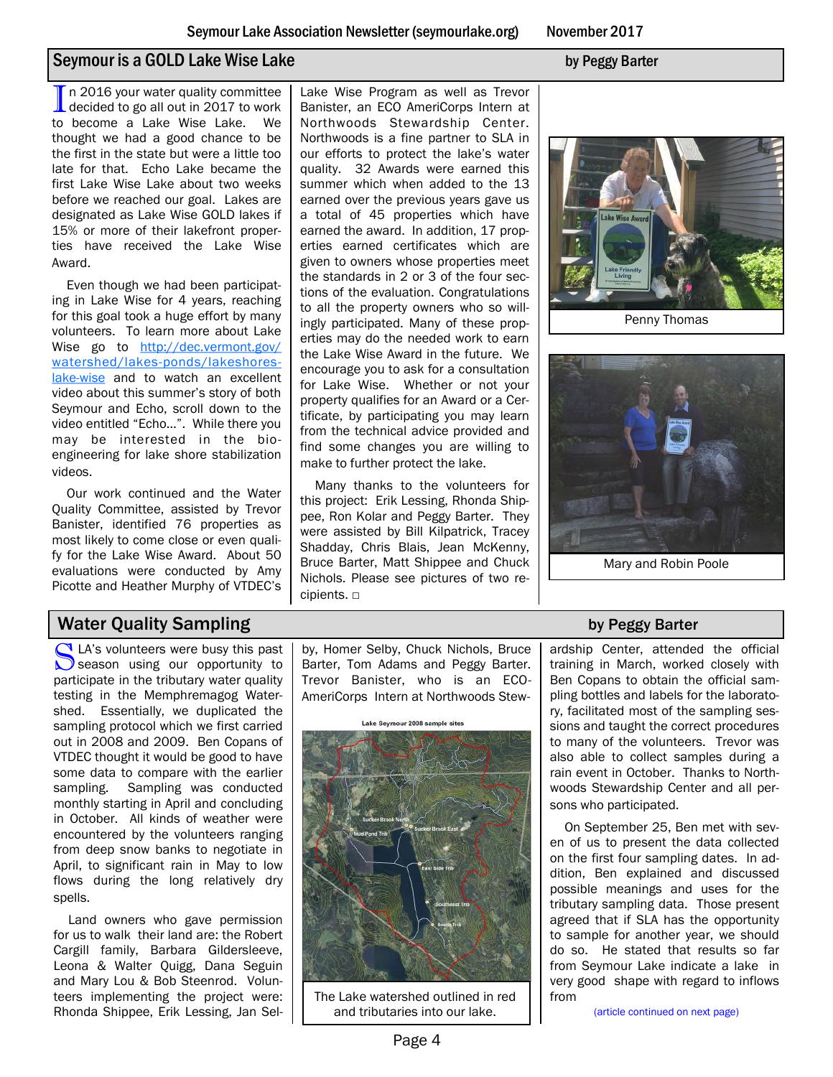## Seymour is a GOLD Lake Wise Lake by Peggy Barter

In 2016 your water quality committee<br>decided to go all out in 2017 to work decided to go all out in 2017 to work to become a Lake Wise Lake. We thought we had a good chance to be the first in the state but were a little too late for that. Echo Lake became the first Lake Wise Lake about two weeks before we reached our goal. Lakes are designated as Lake Wise GOLD lakes if 15% or more of their lakefront properties have received the Lake Wise Award.

Even though we had been participating in Lake Wise for 4 years, reaching for this goal took a huge effort by many volunteers. To learn more about Lake Wise go to [http://dec.vermont.gov/](http://dec.vermont.gov/watershed/lakes-ponds/lakeshores-lake-wise) [watershed/lakes-ponds/lakeshores](http://dec.vermont.gov/watershed/lakes-ponds/lakeshores-lake-wise)[lake-wise](http://dec.vermont.gov/watershed/lakes-ponds/lakeshores-lake-wise) and to watch an excellent video about this summer's story of both Seymour and Echo, scroll down to the video entitled "Echo…". While there you may be interested in the bioengineering for lake shore stabilization videos.

Our work continued and the Water Quality Committee, assisted by Trevor Banister, identified 76 properties as most likely to come close or even qualify for the Lake Wise Award. About 50 evaluations were conducted by Amy Picotte and Heather Murphy of VTDEC's

Lake Wise Program as well as Trevor Banister, an ECO AmeriCorps Intern at Northwoods Stewardship Center. Northwoods is a fine partner to SLA in our efforts to protect the lake's water quality. 32 Awards were earned this summer which when added to the 13 earned over the previous years gave us a total of 45 properties which have earned the award. In addition, 17 properties earned certificates which are given to owners whose properties meet the standards in 2 or 3 of the four sections of the evaluation. Congratulations to all the property owners who so willingly participated. Many of these properties may do the needed work to earn the Lake Wise Award in the future. We encourage you to ask for a consultation for Lake Wise. Whether or not your property qualifies for an Award or a Certificate, by participating you may learn from the technical advice provided and find some changes you are willing to make to further protect the lake.

Many thanks to the volunteers for this project: Erik Lessing, Rhonda Shippee, Ron Kolar and Peggy Barter. They were assisted by Bill Kilpatrick, Tracey Shadday, Chris Blais, Jean McKenny, Bruce Barter, Matt Shippee and Chuck Nichols. Please see pictures of two recipients. □



Penny Thomas



Mary and Robin Poole

## Water Quality Sampling by Peggy Barter

Salas volunteers were busy this past<br>Season using our opportunity to LA's volunteers were busy this past participate in the tributary water quality testing in the Memphremagog Watershed. Essentially, we duplicated the sampling protocol which we first carried out in 2008 and 2009. Ben Copans of VTDEC thought it would be good to have some data to compare with the earlier sampling. Sampling was conducted monthly starting in April and concluding in October. All kinds of weather were encountered by the volunteers ranging from deep snow banks to negotiate in April, to significant rain in May to low flows during the long relatively dry spells.

Land owners who gave permission for us to walk their land are: the Robert Cargill family, Barbara Gildersleeve, Leona & Walter Quigg, Dana Seguin and Mary Lou & Bob Steenrod. Volunteers implementing the project were: Rhonda Shippee, Erik Lessing, Jan Sel-

by, Homer Selby, Chuck Nichols, Bruce Barter, Tom Adams and Peggy Barter. Trevor Banister, who is an ECO-AmeriCorps Intern at Northwoods Stew-



The Lake watershed outlined in red and tributaries into our lake.

ardship Center, attended the official training in March, worked closely with Ben Copans to obtain the official sampling bottles and labels for the laboratory, facilitated most of the sampling sessions and taught the correct procedures to many of the volunteers. Trevor was also able to collect samples during a rain event in October. Thanks to Northwoods Stewardship Center and all persons who participated.

On September 25, Ben met with seven of us to present the data collected on the first four sampling dates. In addition, Ben explained and discussed possible meanings and uses for the tributary sampling data. Those present agreed that if SLA has the opportunity to sample for another year, we should do so. He stated that results so far from Seymour Lake indicate a lake in very good shape with regard to inflows from

(article continued on next page)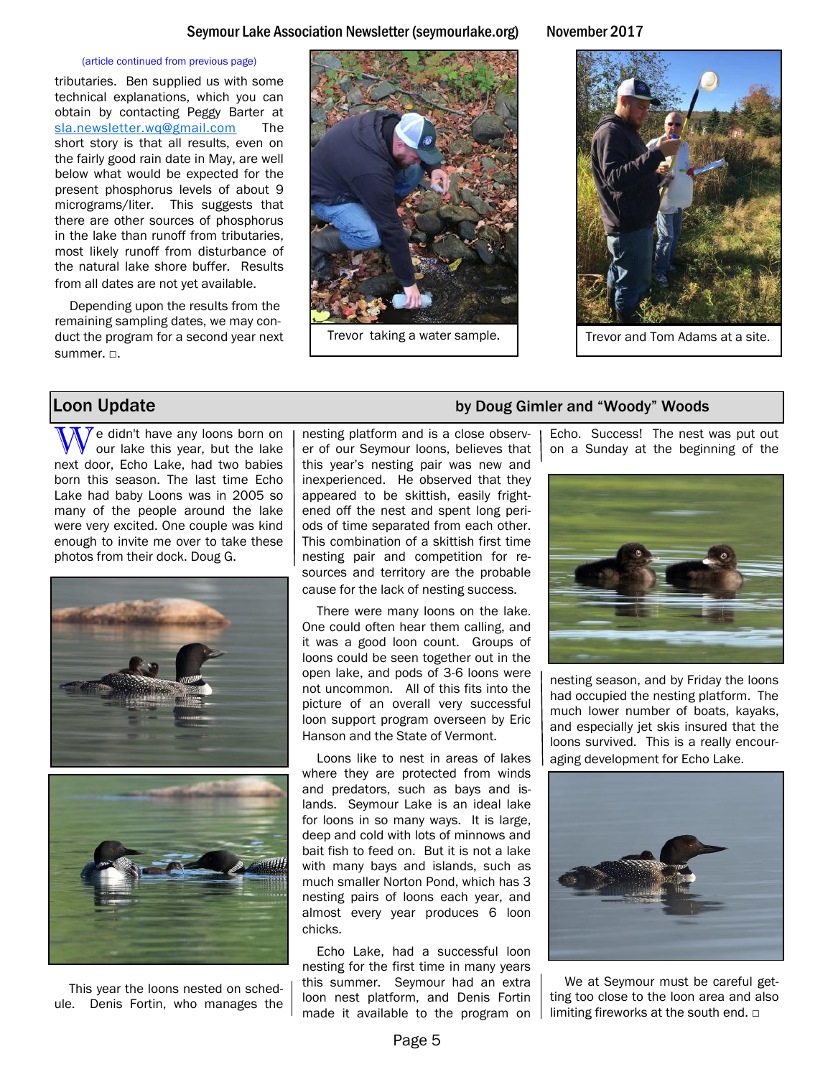### Seymour Lake Association Newsletter (seymourlake.org) November 2017

### (article continued from previous page)

tributaries. Ben supplied us with some technical explanations, which you can obtain by contacting Peggy Barter at [sla.newsletter.wq@gmail.com](mailto:sla.newsletter.wq@gmail.com) The short story is that all results, even on the fairly good rain date in May, are well below what would be expected for the present phosphorus levels of about 9 micrograms/liter. This suggests that there are other sources of phosphorus in the lake than runoff from tributaries, most likely runoff from disturbance of the natural lake shore buffer. Results from all dates are not yet available.

Depending upon the results from the remaining sampling dates, we may conduct the program for a second year next summer. □.





We didn't have any loons born on our lake this year, but the lake next door, Echo Lake, had two babies born this season. The last time Echo Lake had baby Loons was in 2005 so many of the people around the lake were very excited. One couple was kind enough to invite me over to take these photos from their dock. Doug G.





This year the loons nested on schedule. Denis Fortin, who manages the

nesting platform and is a close observer of our Seymour loons, believes that this year's nesting pair was new and inexperienced. He observed that they appeared to be skittish, easily frightened off the nest and spent long periods of time separated from each other. This combination of a skittish first time nesting pair and competition for resources and territory are the probable cause for the lack of nesting success.

There were many loons on the lake. One could often hear them calling, and it was a good loon count. Groups of loons could be seen together out in the open lake, and pods of 3-6 loons were not uncommon. All of this fits into the picture of an overall very successful loon support program overseen by Eric Hanson and the State of Vermont.

Loons like to nest in areas of lakes where they are protected from winds and predators, such as bays and islands. Seymour Lake is an ideal lake for loons in so many ways. It is large, deep and cold with lots of minnows and bait fish to feed on. But it is not a lake with many bays and islands, such as much smaller Norton Pond, which has 3 nesting pairs of loons each year, and almost every year produces 6 loon chicks.

Echo Lake, had a successful loon nesting for the first time in many years this summer. Seymour had an extra loon nest platform, and Denis Fortin made it available to the program on

## **Loon Update** by Doug Gimler and "Woody" Woods

Echo. Success! The nest was put out on a Sunday at the beginning of the



nesting season, and by Friday the loons had occupied the nesting platform. The much lower number of boats, kayaks, and especially jet skis insured that the loons survived. This is a really encouraging development for Echo Lake.



We at Seymour must be careful getting too close to the loon area and also limiting fireworks at the south end. □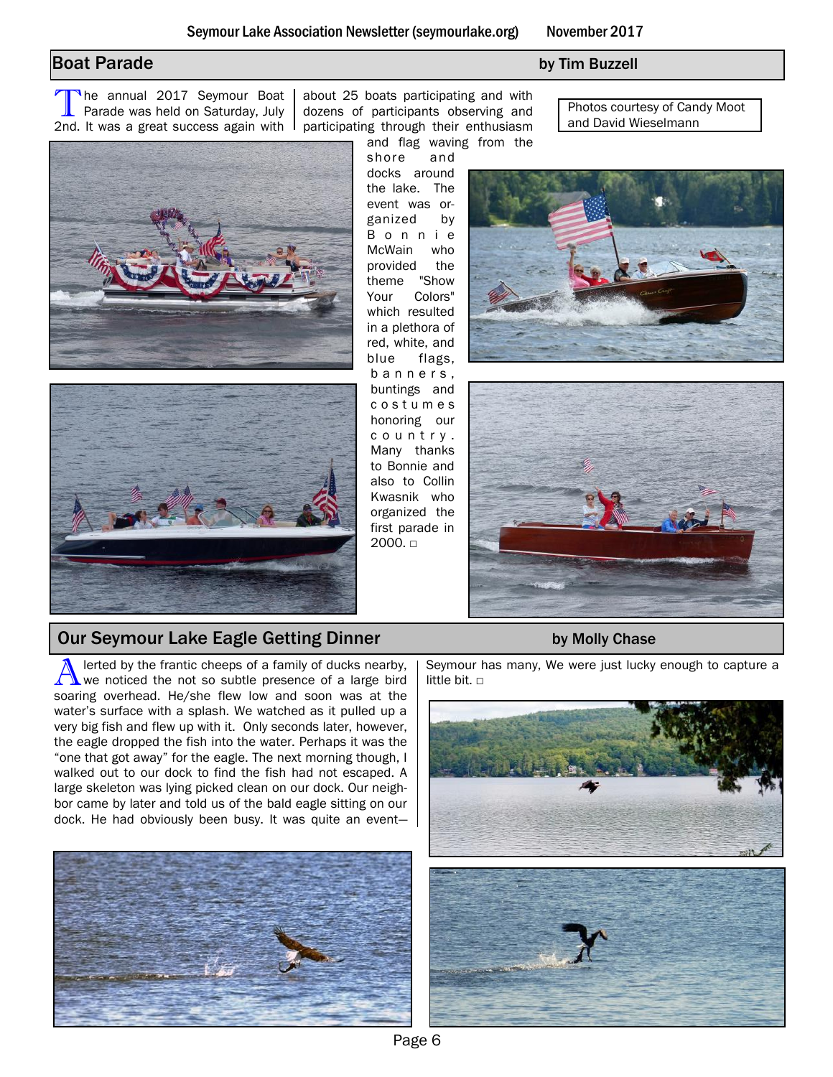## **Boat Parade** by Tim Buzzell

The annual 2017 Seymour Boat<br>Parade was held on Saturday, July<br>2nd. It was a great success again with The annual 2017 Seymour Boat Parade was held on Saturday, July

about 25 boats participating and with dozens of participants observing and participating through their enthusiasm and flag waving from the

shore and docks around the lake. The event was organized by B o n n i e McWain who provided the theme "Show Your Colors" which resulted in a plethora of red, white, and blue flags, b a n n e r s , buntings and c o s t u m e s honoring our c o u n t r y . Many thanks to Bonnie and also to Collin Kwasnik who organized the first parade in 2000. □

Photos courtesy of Candy Moot and David Wieselmann





## Our Seymour Lake Eagle Getting Dinner by Molly Chase

A lerted by the frantic cheeps of a family of ducks nearby,<br>We noticed the not so subtle presence of a large bird lerted by the frantic cheeps of a family of ducks nearby, soaring overhead. He/she flew low and soon was at the water's surface with a splash. We watched as it pulled up a very big fish and flew up with it. Only seconds later, however, the eagle dropped the fish into the water. Perhaps it was the "one that got away" for the eagle. The next morning though, I walked out to our dock to find the fish had not escaped. A large skeleton was lying picked clean on our dock. Our neighbor came by later and told us of the bald eagle sitting on our dock. He had obviously been busy. It was quite an event—







Seymour has many, We were just lucky enough to capture a little bit.  $□$ 

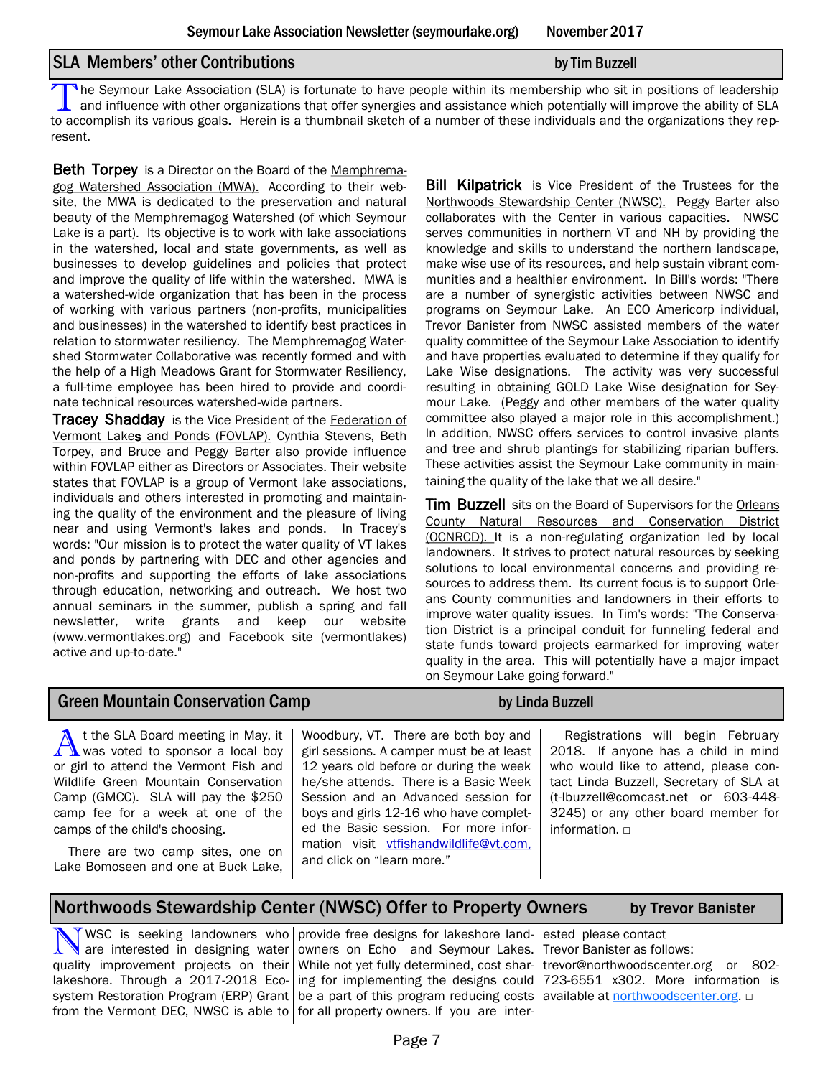## SLA Members' other Contributions by Tim Buzzell

The Seymour Lake Association (SLA) is fortunate to have people within its membership who sit in positions of leadership<br>and influence with other organizations that offer synergies and assistance which potentially will impr The Seymour Lake Association (SLA) is fortunate to have people within its membership who sit in positions of leadership to accomplish its various goals. Herein is a thumbnail sketch of a number of these individuals and the organizations they represent.

**Beth Torpey** is a Director on the Board of the Memphremagog Watershed Association (MWA). According to their website, the MWA is dedicated to the preservation and natural beauty of the Memphremagog Watershed (of which Seymour Lake is a part). Its objective is to work with lake associations in the watershed, local and state governments, as well as businesses to develop guidelines and policies that protect and improve the quality of life within the watershed. MWA is a watershed-wide organization that has been in the process of working with various partners (non-profits, municipalities and businesses) in the watershed to identify best practices in relation to stormwater resiliency. The Memphremagog Watershed Stormwater Collaborative was recently formed and with the help of a High Meadows Grant for Stormwater Resiliency, a full-time employee has been hired to provide and coordinate technical resources watershed-wide partners.

**Tracey Shadday** is the Vice President of the Federation of Vermont Lakes and Ponds (FOVLAP). Cynthia Stevens, Beth Torpey, and Bruce and Peggy Barter also provide influence within FOVLAP either as Directors or Associates. Their website states that FOVLAP is a group of Vermont lake associations, individuals and others interested in promoting and maintaining the quality of the environment and the pleasure of living near and using Vermont's lakes and ponds. In Tracey's words: "Our mission is to protect the water quality of VT lakes and ponds by partnering with DEC and other agencies and non-profits and supporting the efforts of lake associations through education, networking and outreach. We host two annual seminars in the summer, publish a spring and fall newsletter, write grants and keep our website (www.vermontlakes.org) and Facebook site (vermontlakes) active and up-to-date."

**Bill Kilpatrick** is Vice President of the Trustees for the Northwoods Stewardship Center (NWSC). Peggy Barter also collaborates with the Center in various capacities. NWSC serves communities in northern VT and NH by providing the knowledge and skills to understand the northern landscape, make wise use of its resources, and help sustain vibrant communities and a healthier environment. In Bill's words: "There are a number of synergistic activities between NWSC and programs on Seymour Lake. An ECO Americorp individual, Trevor Banister from NWSC assisted members of the water quality committee of the Seymour Lake Association to identify and have properties evaluated to determine if they qualify for Lake Wise designations. The activity was very successful resulting in obtaining GOLD Lake Wise designation for Seymour Lake. (Peggy and other members of the water quality committee also played a major role in this accomplishment.) In addition, NWSC offers services to control invasive plants and tree and shrub plantings for stabilizing riparian buffers. These activities assist the Seymour Lake community in maintaining the quality of the lake that we all desire."

**Tim Buzzell** sits on the Board of Supervisors for the Orleans County Natural Resources and Conservation District (OCNRCD). It is a non-regulating organization led by local landowners. It strives to protect natural resources by seeking solutions to local environmental concerns and providing resources to address them. Its current focus is to support Orleans County communities and landowners in their efforts to improve water quality issues. In Tim's words: "The Conservation District is a principal conduit for funneling federal and state funds toward projects earmarked for improving water quality in the area. This will potentially have a major impact on Seymour Lake going forward."

## Green Mountain Conservation Camp by Linda Buzzell

A t the SLA Board meeting in May, it<br>was voted to sponsor a local boy t the SLA Board meeting in May, it or girl to attend the Vermont Fish and Wildlife Green Mountain Conservation Camp (GMCC). SLA will pay the \$250 camp fee for a week at one of the camps of the child's choosing.

There are two camp sites, one on Lake Bomoseen and one at Buck Lake,

Woodbury, VT. There are both boy and girl sessions. A camper must be at least 12 years old before or during the week he/she attends. There is a Basic Week Session and an Advanced session for boys and girls 12-16 who have completed the Basic session. For more information visit vtfishandwildlife@vt.com, and click on "learn more."

Registrations will begin February 2018. If anyone has a child in mind who would like to attend, please contact Linda Buzzell, Secretary of SLA at (t-lbuzzell@comcast.net or 603-448- 3245) or any other board member for information. □

## Northwoods Stewardship Center (NWSC) Offer to Property Owners by Trevor Banister

N WSC is seeking landowners who are interested in designing water quality improvement projects on their lakeshore. Through a 2017-2018 Eco-

system Restoration Program (ERP) Grant | be a part of this program reducing costs | available at [northwoodscenter.org](file:///C:/Users/erikl/AppData/Local/Microsoft/Windows/INetCache/Content.Outlook/G4R7DLDT/Announcement%20From%20Northwoods%20Stewardship%20Center.docx). □ from the Vermont DEC, NWSC is able to for all property owners. If you are interprovide free designs for lakeshore landowners on Echo and Seymour Lakes. While not yet fully determined, cost sharing for implementing the designs could

ested please contact Trevor Banister as follows: trevor@northwoodscenter.org or 802- 723-6551 x302. More information is